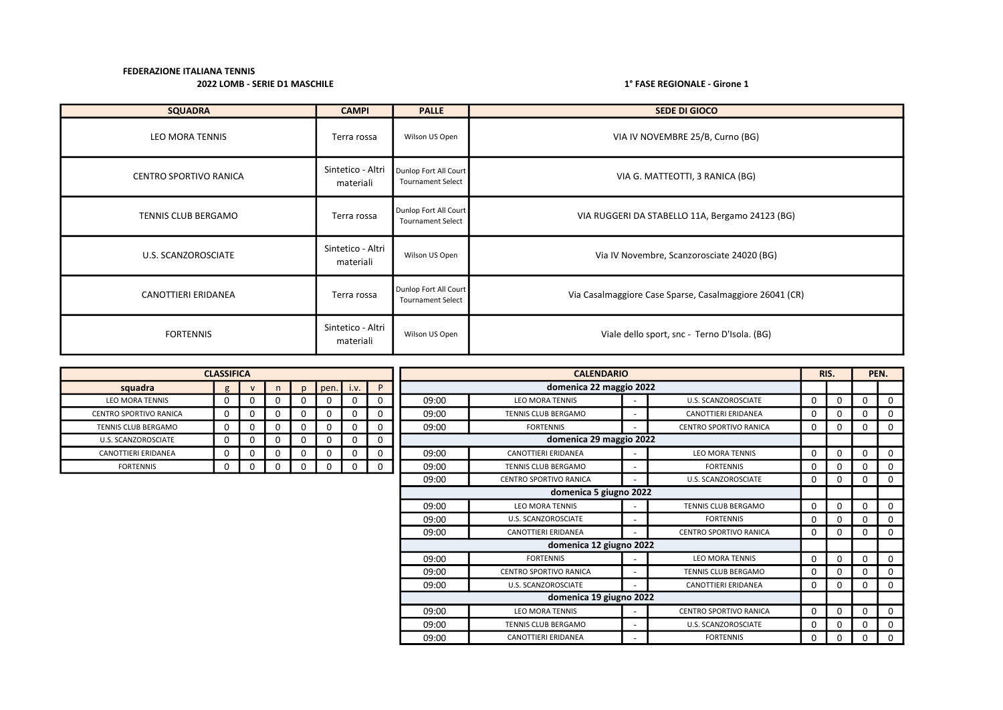| <b>SQUADRA</b>         | <b>CAMPI</b>                   | <b>PALLE</b>                                      | <b>SEDE DI GIOCO</b>                                    |
|------------------------|--------------------------------|---------------------------------------------------|---------------------------------------------------------|
| LEO MORA TENNIS        | Terra rossa                    | Wilson US Open                                    | VIA IV NOVEMBRE 25/B, Curno (BG)                        |
| CENTRO SPORTIVO RANICA | Sintetico - Altri<br>materiali | Dunlop Fort All Court<br><b>Tournament Select</b> | VIA G. MATTEOTTI, 3 RANICA (BG)                         |
| TENNIS CLUB BERGAMO    | Terra rossa                    | Dunlop Fort All Court<br><b>Tournament Select</b> | VIA RUGGERI DA STABELLO 11A, Bergamo 24123 (BG)         |
| U.S. SCANZOROSCIATE    | Sintetico - Altri<br>materiali | Wilson US Open                                    | Via IV Novembre, Scanzorosciate 24020 (BG)              |
| CANOTTIERI ERIDANEA    | Terra rossa                    | Dunlop Fort All Court<br><b>Tournament Select</b> | Via Casalmaggiore Case Sparse, Casalmaggiore 26041 (CR) |
| <b>FORTENNIS</b>       | Sintetico - Altri<br>materiali | Wilson US Open                                    | Viale dello sport, snc - Terno D'Isola. (BG)            |

|                            | <b>CLASSIFICA</b> |              |   |              |             |   |          |       | RIS.                          |                          |                               | PEN.     |   |          |              |
|----------------------------|-------------------|--------------|---|--------------|-------------|---|----------|-------|-------------------------------|--------------------------|-------------------------------|----------|---|----------|--------------|
| squadra                    | g                 | $\mathsf{V}$ | n | $\mathbf{D}$ | $pen.$ i.v. |   | P        |       | domenica 22 maggio 2022       |                          |                               |          |   |          |              |
| <b>LEO MORA TENNIS</b>     | $\Omega$          | 0            |   |              | 0           | 0 | $\Omega$ | 09:00 | <b>LEO MORA TENNIS</b>        |                          | U.S. SCANZOROSCIATE           | $\Omega$ | 0 | $\Omega$ | $\mathbf{0}$ |
| CENTRO SPORTIVO RANICA     | $\Omega$          | $\Omega$     |   | O            | 0           |   | 0        | 09:00 | TENNIS CLUB BERGAMO           | $\overline{\phantom{a}}$ | CANOTTIERI ERIDANEA           | O        | 0 | $\Omega$ | 0            |
| <b>TENNIS CLUB BERGAMO</b> | 0                 | $\Omega$     | 0 | 0            | 0           | 0 | 0        | 09:00 | <b>FORTENNIS</b>              | $\overline{\phantom{0}}$ | <b>CENTRO SPORTIVO RANICA</b> | $\Omega$ | 0 | $\Omega$ | 0            |
| U.S. SCANZOROSCIATE        | 0                 | 0            |   |              | 0           |   | 0        |       | domenica 29 maggio 2022       |                          |                               |          |   |          |              |
| <b>CANOTTIERI ERIDANEA</b> | 0                 | 0            |   |              | 0           |   | 0        | 09:00 | CANOTTIERI ERIDANEA           | $\overline{\phantom{a}}$ | <b>LEO MORA TENNIS</b>        | O        | 0 | $\Omega$ | 0            |
| <b>FORTENNIS</b>           | $\Omega$          | $\Omega$     | 0 |              | 0           | 0 | $\Omega$ | 09:00 | TENNIS CLUB BERGAMO           | $\overline{\phantom{0}}$ | <b>FORTENNIS</b>              | ŋ        | 0 | $\Omega$ | 0            |
|                            |                   |              |   |              |             |   |          | 09:00 | <b>CENTRO SPORTIVO RANICA</b> | $\overline{\phantom{a}}$ | U.S. SCANZOROSCIATE           | 0        | 0 | $\Omega$ | 0            |
|                            |                   |              |   |              |             |   |          |       | domenica 5 giugno 2022        |                          |                               |          |   |          |              |
|                            |                   |              |   |              |             |   |          | 09:00 | <b>LEO MORA TENNIS</b>        | $\overline{\phantom{a}}$ | <b>TENNIS CLUB BERGAMO</b>    | 0        | 0 | $\Omega$ | 0            |
|                            |                   |              |   |              |             |   |          | 09:00 | U.S. SCANZOROSCIATE           | $\overline{\phantom{a}}$ | <b>FORTENNIS</b>              | $\Omega$ | 0 | $\Omega$ | 0            |
|                            |                   |              |   |              |             |   |          | 09:00 | CANOTTIERI ERIDANEA           | $\overline{\phantom{0}}$ | <b>CENTRO SPORTIVO RANICA</b> | 0        | 0 | $\Omega$ | 0            |
|                            |                   |              |   |              |             |   |          |       | domenica 12 giugno 2022       |                          |                               |          |   |          |              |
|                            |                   |              |   |              |             |   |          | 09:00 | <b>FORTENNIS</b>              | $\overline{\phantom{a}}$ | <b>LEO MORA TENNIS</b>        | $\Omega$ | 0 |          | 0            |
|                            |                   |              |   |              |             |   |          | 09:00 | <b>CENTRO SPORTIVO RANICA</b> | $\overline{\phantom{a}}$ | TENNIS CLUB BERGAMO           | ŋ        | 0 | $\Omega$ | O            |
|                            |                   |              |   |              |             |   |          | 09:00 | U.S. SCANZOROSCIATE           | $\overline{\phantom{0}}$ | CANOTTIERI ERIDANEA           | 0        | 0 | 0        | $\Omega$     |
|                            |                   |              |   |              |             |   |          |       | domenica 19 giugno 2022       |                          |                               |          |   |          |              |
|                            |                   |              |   |              |             |   |          | 09:00 | <b>LEO MORA TENNIS</b>        | $\overline{\phantom{a}}$ | <b>CENTRO SPORTIVO RANICA</b> | $\Omega$ | 0 | $\Omega$ | 0            |
|                            |                   |              |   |              |             |   |          | 09:00 | TENNIS CLUB BERGAMO           | $\overline{\phantom{0}}$ | U.S. SCANZOROSCIATE           | 0        | 0 | 0        | 0            |
|                            |                   |              |   |              |             |   |          | 09:00 | CANOTTIERI ERIDANEA           |                          | <b>FORTENNIS</b>              | 0        | 0 | $\Omega$ | 0            |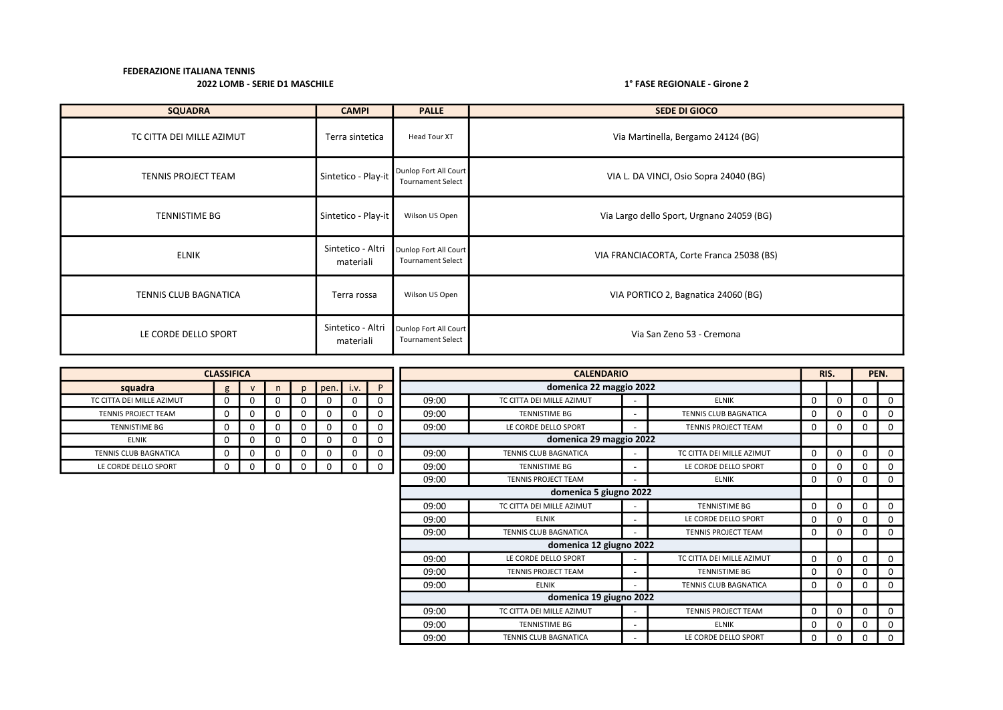| <b>SQUADRA</b>            | <b>CAMPI</b>                   | <b>PALLE</b>                                      | <b>SEDE DI GIOCO</b>                      |
|---------------------------|--------------------------------|---------------------------------------------------|-------------------------------------------|
| TC CITTA DEI MILLE AZIMUT | Terra sintetica                | Head Tour XT                                      | Via Martinella, Bergamo 24124 (BG)        |
| TENNIS PROJECT TEAM       | Sintetico - Play-it            | Dunlop Fort All Court<br><b>Tournament Select</b> | VIA L. DA VINCI, Osio Sopra 24040 (BG)    |
| <b>TENNISTIME BG</b>      | Sintetico - Play-it            | Wilson US Open                                    | Via Largo dello Sport, Urgnano 24059 (BG) |
| <b>ELNIK</b>              | Sintetico - Altri<br>materiali | Dunlop Fort All Court<br><b>Tournament Select</b> | VIA FRANCIACORTA, Corte Franca 25038 (BS) |
| TENNIS CLUB BAGNATICA     | Terra rossa                    | Wilson US Open                                    | VIA PORTICO 2, Bagnatica 24060 (BG)       |
| LE CORDE DELLO SPORT      | Sintetico - Altri<br>materiali | Dunlop Fort All Court<br><b>Tournament Select</b> | Via San Zeno 53 - Cremona                 |

|                           | <b>CLASSIFICA</b> |              |          |              |      |          |          |                                                    | <b>CALENDARIO</b>                                    |  |                            |             |          |   | PEN.     |
|---------------------------|-------------------|--------------|----------|--------------|------|----------|----------|----------------------------------------------------|------------------------------------------------------|--|----------------------------|-------------|----------|---|----------|
| squadra                   | g                 | $\mathbf{v}$ | n        | $\mathsf{D}$ | pen. | i.v.     | P        |                                                    | domenica 22 maggio 2022                              |  |                            |             |          |   |          |
| TC CITTA DEI MILLE AZIMUT | $\Omega$          | $\Omega$     | $\Omega$ |              |      |          |          | 09:00                                              | TC CITTA DEI MILLE AZIMUT                            |  | <b>ELNIK</b>               | $\Omega$    |          |   | 0        |
| TENNIS PROJECT TEAM       | $\mathbf{0}$      | $\Omega$     | 0        |              |      | 0        | $\Omega$ | 09:00                                              | <b>TENNISTIME BG</b>                                 |  | TENNIS CLUB BAGNATICA      | $\mathbf 0$ |          |   | $\Omega$ |
| TENNISTIME BG             | 0                 | $\mathbf 0$  | 0        |              |      | $\Omega$ |          | 09:00                                              | LE CORDE DELLO SPORT                                 |  | TENNIS PROJECT TEAM        | $\mathbf 0$ | n        |   | $\Omega$ |
| <b>ELNIK</b>              | $\mathbf{0}$      | 0            | 0        | O            |      | 0        | $\Omega$ |                                                    | domenica 29 maggio 2022                              |  |                            |             |          |   |          |
| TENNIS CLUB BAGNATICA     | $\Omega$          | $\mathbf 0$  | 0        |              |      | 0        |          | 09:00                                              | TENNIS CLUB BAGNATICA<br>TC CITTA DEI MILLE AZIMUT   |  |                            |             | $\Omega$ |   | $\Omega$ |
| LE CORDE DELLO SPORT      | $\mathbf 0$       | 0            | 0        | 0            |      | 0        | 0        | 09:00                                              | <b>TENNISTIME BG</b>                                 |  | LE CORDE DELLO SPORT       | 0           |          |   | $\Omega$ |
|                           |                   |              |          |              |      |          |          | 09:00                                              | <b>TENNIS PROJECT TEAM</b>                           |  | <b>ELNIK</b>               | $\mathbf 0$ | $\Omega$ |   | $\Omega$ |
|                           |                   |              |          |              |      |          |          |                                                    | domenica 5 giugno 2022                               |  |                            |             |          |   |          |
|                           |                   |              |          |              |      |          |          | 09:00                                              | TC CITTA DEI MILLE AZIMUT                            |  | <b>TENNISTIME BG</b>       | $\mathbf 0$ |          |   | $\Omega$ |
|                           |                   |              |          |              |      |          |          | 09:00                                              | <b>ELNIK</b>                                         |  | LE CORDE DELLO SPORT       | 0           |          |   | $\Omega$ |
|                           |                   |              |          |              |      |          |          | 09:00                                              | TENNIS CLUB BAGNATICA                                |  | <b>TENNIS PROJECT TEAM</b> | $\mathbf 0$ |          |   | $\Omega$ |
|                           |                   |              |          |              |      |          |          |                                                    | domenica 12 giugno 2022                              |  |                            |             |          |   |          |
|                           |                   |              |          |              |      |          |          | 09:00                                              | LE CORDE DELLO SPORT                                 |  | TC CITTA DEI MILLE AZIMUT  | $\mathbf 0$ |          |   | $\Omega$ |
|                           |                   |              |          |              |      |          |          | 09:00                                              | <b>TENNIS PROJECT TEAM</b>                           |  | <b>TENNISTIME BG</b>       | 0           |          |   | $\Omega$ |
|                           |                   |              |          |              |      |          |          | 09:00                                              | <b>ELNIK</b>                                         |  | TENNIS CLUB BAGNATICA      | $\mathbf 0$ |          |   | $\Omega$ |
|                           |                   |              |          |              |      |          |          |                                                    | domenica 19 giugno 2022                              |  |                            |             |          |   |          |
|                           |                   |              |          |              |      |          |          | 09:00                                              | TC CITTA DEI MILLE AZIMUT<br>TENNIS PROJECT TEAM     |  |                            | $\mathbf 0$ | $\Omega$ |   | $\Omega$ |
|                           |                   |              |          |              |      |          |          | 09:00<br><b>TENNISTIME BG</b><br><b>ELNIK</b><br>۰ |                                                      |  | 0                          |             |          | 0 |          |
|                           |                   |              |          |              |      |          |          | 09:00                                              | <b>TENNIS CLUB BAGNATICA</b><br>LE CORDE DELLO SPORT |  |                            |             | 0        |   | $\Omega$ |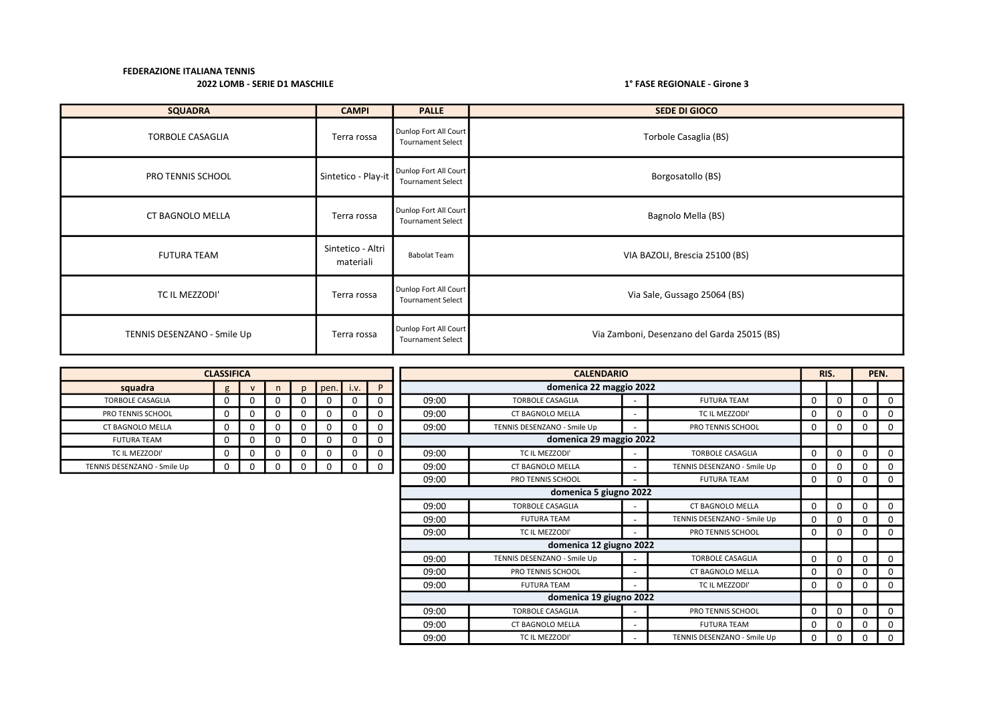| <b>SQUADRA</b>              | <b>CAMPI</b>                   | <b>PALLE</b>                                      | <b>SEDE DI GIOCO</b>                        |
|-----------------------------|--------------------------------|---------------------------------------------------|---------------------------------------------|
| <b>TORBOLE CASAGLIA</b>     | Terra rossa                    | Dunlop Fort All Court<br><b>Tournament Select</b> | Torbole Casaglia (BS)                       |
| PRO TENNIS SCHOOL           | Sintetico - Play-it            | Dunlop Fort All Court<br><b>Tournament Select</b> | Borgosatollo (BS)                           |
| CT BAGNOLO MELLA            | Terra rossa                    | Dunlop Fort All Court<br><b>Tournament Select</b> | Bagnolo Mella (BS)                          |
| <b>FUTURA TEAM</b>          | Sintetico - Altri<br>materiali | <b>Babolat Team</b>                               | VIA BAZOLI, Brescia 25100 (BS)              |
| TC IL MEZZODI'              | Terra rossa                    | Dunlop Fort All Court<br><b>Tournament Select</b> | Via Sale, Gussago 25064 (BS)                |
| TENNIS DESENZANO - Smile Up | Terra rossa                    | Dunlop Fort All Court<br><b>Tournament Select</b> | Via Zamboni, Desenzano del Garda 25015 (BS) |

|                             | <b>CLASSIFICA</b> |              |          |          |      |             |   | <b>CALENDARIO</b>                                      |                                           |  |                             |   |          |             | PEN.     |
|-----------------------------|-------------------|--------------|----------|----------|------|-------------|---|--------------------------------------------------------|-------------------------------------------|--|-----------------------------|---|----------|-------------|----------|
| squadra                     | $\sigma$          | $\mathbf{v}$ | n        | n.       | pen. | i.v.        | P |                                                        | domenica 22 maggio 2022                   |  |                             |   |          |             |          |
| <b>TORBOLE CASAGLIA</b>     | $\Omega$          | 0            | $\Omega$ | 0        |      | 0           |   | 09:00                                                  | <b>TORBOLE CASAGLIA</b>                   |  | <b>FUTURA TEAM</b>          | 0 | $\Omega$ | 0           | 0        |
| PRO TENNIS SCHOOL           | $\Omega$          | 0            | 0        | $\Omega$ |      | $\Omega$    | 0 | 09:00                                                  | <b>CT BAGNOLO MELLA</b>                   |  | TC IL MEZZODI'              | 0 | $\Omega$ | 0           | $\Omega$ |
| <b>CT BAGNOLO MELLA</b>     | 0                 | 0            | 0        | 0        |      | $\mathbf 0$ |   | 09:00                                                  | TENNIS DESENZANO - Smile Up               |  | PRO TENNIS SCHOOL           | 0 | $\Omega$ | 0           | 0        |
| <b>FUTURA TEAM</b>          | 0                 | 0            | 0        | 0        |      | 0           |   |                                                        | domenica 29 maggio 2022                   |  |                             |   |          |             |          |
| TC IL MEZZODI'              | 0                 | 0            | 0        | 0        |      | 0           |   | 09:00                                                  | TC IL MEZZODI'<br><b>TORBOLE CASAGLIA</b> |  |                             |   |          |             | 0        |
| TENNIS DESENZANO - Smile Up | 0                 |              | 0        | 0        |      | 0           | 0 | 09:00                                                  | <b>CT BAGNOLO MELLA</b>                   |  | TENNIS DESENZANO - Smile Up | 0 | 0        | 0           | 0        |
|                             |                   |              |          |          |      |             |   | 09:00                                                  | PRO TENNIS SCHOOL                         |  | <b>FUTURA TEAM</b>          | 0 | 0        | 0           | $\Omega$ |
|                             |                   |              |          |          |      |             |   |                                                        | domenica 5 giugno 2022                    |  |                             |   |          |             |          |
|                             |                   |              |          |          |      |             |   | 09:00                                                  | <b>TORBOLE CASAGLIA</b>                   |  | <b>CT BAGNOLO MELLA</b>     | 0 | $\Omega$ | 0           | 0        |
|                             |                   |              |          |          |      |             |   | 09:00                                                  | <b>FUTURA TEAM</b>                        |  | TENNIS DESENZANO - Smile Up | 0 | $\Omega$ | 0           | 0        |
|                             |                   |              |          |          |      |             |   | 09:00                                                  | TC IL MEZZODI'                            |  | PRO TENNIS SCHOOL           | 0 | 0        | 0           | 0        |
|                             |                   |              |          |          |      |             |   |                                                        | domenica 12 giugno 2022                   |  |                             |   |          |             |          |
|                             |                   |              |          |          |      |             |   | 09:00                                                  | TENNIS DESENZANO - Smile Up               |  | <b>TORBOLE CASAGLIA</b>     | 0 | $\Omega$ | $\mathbf 0$ | $\Omega$ |
|                             |                   |              |          |          |      |             |   | 09:00                                                  | PRO TENNIS SCHOOL                         |  | <b>CT BAGNOLO MELLA</b>     | 0 | $\Omega$ | 0           | 0        |
|                             |                   |              |          |          |      |             |   | 09:00                                                  | <b>FUTURA TEAM</b>                        |  | TC IL MEZZODI'              | 0 | 0        | 0           | 0        |
|                             |                   |              |          |          |      |             |   |                                                        | domenica 19 giugno 2022                   |  |                             |   |          |             |          |
|                             |                   |              |          |          |      |             |   | 09:00                                                  | <b>TORBOLE CASAGLIA</b>                   |  | PRO TENNIS SCHOOL           | 0 | $\Omega$ | 0           | 0        |
|                             |                   |              |          |          |      |             |   | <b>CT BAGNOLO MELLA</b><br><b>FUTURA TEAM</b><br>09:00 |                                           |  |                             |   | 0        | 0           | 0        |
|                             |                   |              |          |          |      |             |   | 09:00                                                  | TC IL MEZZODI'                            |  | TENNIS DESENZANO - Smile Up | 0 | 0        | 0           | $\Omega$ |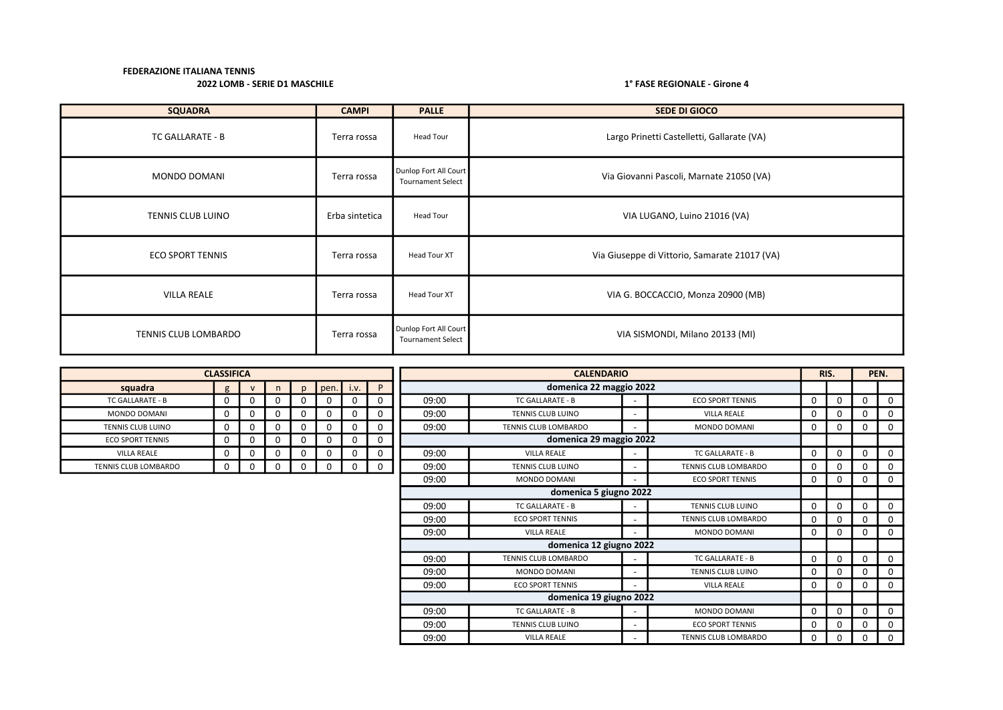| <b>SQUADRA</b>          | <b>CAMPI</b>   | <b>PALLE</b>                                      | <b>SEDE DI GIOCO</b>                          |
|-------------------------|----------------|---------------------------------------------------|-----------------------------------------------|
| TC GALLARATE - B        | Terra rossa    | Head Tour                                         | Largo Prinetti Castelletti, Gallarate (VA)    |
| MONDO DOMANI            | Terra rossa    | Dunlop Fort All Court<br><b>Tournament Select</b> | Via Giovanni Pascoli, Marnate 21050 (VA)      |
| TENNIS CLUB LUINO       | Erba sintetica | Head Tour                                         | VIA LUGANO, Luino 21016 (VA)                  |
| <b>ECO SPORT TENNIS</b> | Terra rossa    | Head Tour XT                                      | Via Giuseppe di Vittorio, Samarate 21017 (VA) |
| <b>VILLA REALE</b>      | Terra rossa    | Head Tour XT                                      | VIA G. BOCCACCIO, Monza 20900 (MB)            |
| TENNIS CLUB LOMBARDO    | Terra rossa    | Dunlop Fort All Court<br><b>Tournament Select</b> | VIA SISMONDI, Milano 20133 (MI)               |

|                          | <b>CLASSIFICA</b> |              |   |    |             |   |          |                         |                          |  | RIS.                        | PEN.        |          |   |             |
|--------------------------|-------------------|--------------|---|----|-------------|---|----------|-------------------------|--------------------------|--|-----------------------------|-------------|----------|---|-------------|
| squadra                  | $\sigma$          | $\mathsf{v}$ | n | n. | $pen.$ i.v. |   | P        |                         | domenica 22 maggio 2022  |  |                             |             |          |   |             |
| <b>TC GALLARATE - B</b>  |                   | 0            | 0 |    | 0           | 0 |          | 09:00                   | <b>TC GALLARATE - B</b>  |  | <b>ECO SPORT TENNIS</b>     | $\Omega$    | $\Omega$ | 0 | $\Omega$    |
| <b>MONDO DOMANI</b>      | n                 | 0            |   |    | 0           |   |          | 09:00                   | <b>TENNIS CLUB LUINO</b> |  | <b>VILLA REALE</b>          | $\Omega$    |          | 0 | 0           |
| <b>TENNIS CLUB LUINO</b> | $\Omega$          | 0            | 0 |    | 0           | 0 |          | 09:00                   | TENNIS CLUB LOMBARDO     |  | <b>MONDO DOMANI</b>         | $\Omega$    | 0        | 0 | $\mathbf 0$ |
| <b>ECO SPORT TENNIS</b>  | <sup>0</sup>      | 0            | 0 |    | 0           | 0 | 0        | domenica 29 maggio 2022 |                          |  |                             |             |          |   |             |
| <b>VILLA REALE</b>       |                   | 0            |   |    | 0           |   |          | 09:00                   | <b>VILLA REALE</b>       |  | TC GALLARATE - B            | $\Omega$    |          | 0 | $\Omega$    |
| TENNIS CLUB LOMBARDO     |                   | 0            |   |    | 0           |   | $\Omega$ | 09:00                   | <b>TENNIS CLUB LUINO</b> |  | TENNIS CLUB LOMBARDO        | 0           |          | 0 | 0           |
|                          |                   |              |   |    |             |   |          | 09:00                   | <b>MONDO DOMANI</b>      |  | <b>ECO SPORT TENNIS</b>     | $\Omega$    | 0        | 0 | $\mathbf 0$ |
|                          |                   |              |   |    |             |   |          |                         | domenica 5 giugno 2022   |  |                             |             |          |   |             |
|                          |                   |              |   |    |             |   |          | 09:00                   | TC GALLARATE - B         |  | <b>TENNIS CLUB LUINO</b>    | $\Omega$    |          |   | $\Omega$    |
|                          |                   |              |   |    |             |   |          | 09:00                   | <b>ECO SPORT TENNIS</b>  |  | <b>TENNIS CLUB LOMBARDO</b> | $\mathbf 0$ |          |   | $\mathbf 0$ |
|                          |                   |              |   |    |             |   |          | 09:00                   | <b>VILLA REALE</b>       |  | MONDO DOMANI                | $\Omega$    | 0        | 0 | $\mathbf 0$ |
|                          |                   |              |   |    |             |   |          |                         | domenica 12 giugno 2022  |  |                             |             |          |   |             |
|                          |                   |              |   |    |             |   |          | 09:00                   | TENNIS CLUB LOMBARDO     |  | <b>TC GALLARATE - B</b>     | $\Omega$    |          | 0 | $\Omega$    |
|                          |                   |              |   |    |             |   |          | 09:00                   | <b>MONDO DOMANI</b>      |  | <b>TENNIS CLUB LUINO</b>    | 0           |          |   | $\Omega$    |
|                          |                   |              |   |    |             |   |          | 09:00                   | <b>ECO SPORT TENNIS</b>  |  | <b>VILLA REALE</b>          | $\Omega$    |          | 0 | $\Omega$    |
|                          |                   |              |   |    |             |   |          |                         | domenica 19 giugno 2022  |  |                             |             |          |   |             |
|                          |                   |              |   |    |             |   |          | 09:00                   | TC GALLARATE - B         |  | <b>MONDO DOMANI</b>         | $\Omega$    | $\Omega$ | 0 | $\Omega$    |
|                          |                   |              |   |    |             |   |          | 09:00                   | <b>TENNIS CLUB LUINO</b> |  | <b>ECO SPORT TENNIS</b>     | $\Omega$    |          |   | $\Omega$    |
|                          |                   |              |   |    |             |   |          | 09:00                   | <b>VILLA REALE</b>       |  | TENNIS CLUB LOMBARDO        | $\Omega$    | O        |   | $\Omega$    |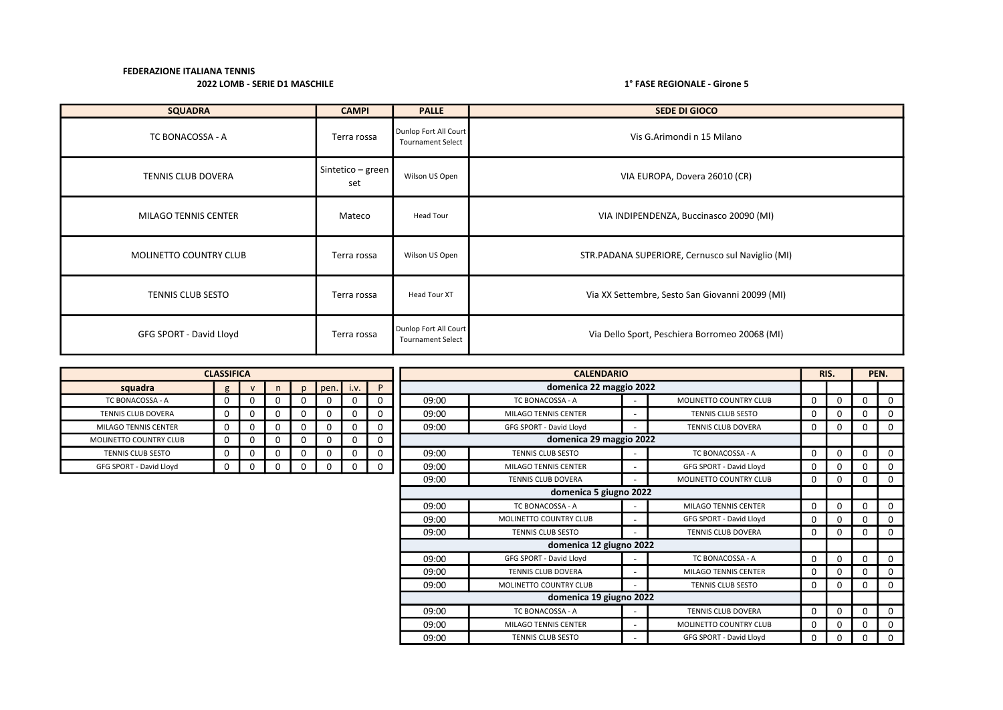| <b>SQUADRA</b>              | <b>CAMPI</b>             | <b>PALLE</b>                                      | SEDE DI GIOCO                                    |
|-----------------------------|--------------------------|---------------------------------------------------|--------------------------------------------------|
| TC BONACOSSA - A            | Terra rossa              | Dunlop Fort All Court<br><b>Tournament Select</b> | Vis G.Arimondi n 15 Milano                       |
| TENNIS CLUB DOVERA          | Sintetico - green<br>set | Wilson US Open                                    | VIA EUROPA, Dovera 26010 (CR)                    |
| <b>MILAGO TENNIS CENTER</b> | Mateco                   | Head Tour                                         | VIA INDIPENDENZA, Buccinasco 20090 (MI)          |
| MOLINETTO COUNTRY CLUB      | Terra rossa              | Wilson US Open                                    | STR.PADANA SUPERIORE, Cernusco sul Naviglio (MI) |
| TENNIS CLUB SESTO           | Terra rossa              | Head Tour XT                                      | Via XX Settembre, Sesto San Giovanni 20099 (MI)  |
| GFG SPORT - David Lloyd     | Terra rossa              | Dunlop Fort All Court<br><b>Tournament Select</b> | Via Dello Sport, Peschiera Borromeo 20068 (MI)   |

|                               | <b>CLASSIFICA</b> |              |   |              |      |                         |                        | <b>CALENDARIO</b> |                               |                          |                           |             |   | PEN.     |          |
|-------------------------------|-------------------|--------------|---|--------------|------|-------------------------|------------------------|-------------------|-------------------------------|--------------------------|---------------------------|-------------|---|----------|----------|
| squadra                       | g                 | $\mathsf{v}$ |   | $\mathbf{D}$ | pen. | $\blacksquare$          | P                      |                   | domenica 22 maggio 2022       |                          |                           |             |   |          |          |
| TC BONACOSSA - A              | 0                 | 0            |   | 0            | 0    | 0                       | $\Omega$               | 09:00             | TC BONACOSSA - A              |                          | MOLINETTO COUNTRY CLUB    | 0           |   | 0        | $\Omega$ |
| <b>TENNIS CLUB DOVERA</b>     | $\Omega$          | 0            |   | $\Omega$     | 0    | 0                       | 0                      | 09:00             | MILAGO TENNIS CENTER          | $\overline{\phantom{a}}$ | <b>TENNIS CLUB SESTO</b>  | $\Omega$    |   | 0        | 0        |
| MILAGO TENNIS CENTER          | 0                 | 0            | 0 | 0            | 0    | 0                       | $\Omega$               | 09:00             | GFG SPORT - David Lloyd       | $\overline{\phantom{a}}$ | <b>TENNIS CLUB DOVERA</b> | 0           | 0 | $\Omega$ | 0        |
| <b>MOLINETTO COUNTRY CLUB</b> | $\Omega$          | 0            |   | 0            | 0    | 0                       | $\Omega$               |                   | domenica 29 maggio 2022       |                          |                           |             |   |          |          |
| <b>TENNIS CLUB SESTO</b>      | $\Omega$          | 0            |   | 0            | 0    | 0                       | $\Omega$               | 09:00             | <b>TENNIS CLUB SESTO</b>      | $\overline{\phantom{a}}$ | TC BONACOSSA - A          | $\Omega$    |   | $\Omega$ | $\Omega$ |
| GFG SPORT - David Lloyd       | 0                 | 0            |   | 0            | 0    | 0                       | $\Omega$               | 09:00             | MILAGO TENNIS CENTER          |                          | GFG SPORT - David Lloyd   | 0           |   | $\Omega$ | $\Omega$ |
|                               |                   |              |   |              |      |                         |                        | 09:00             | <b>TENNIS CLUB DOVERA</b>     | $\overline{\phantom{a}}$ | MOLINETTO COUNTRY CLUB    | $\Omega$    |   | $\Omega$ | $\Omega$ |
|                               |                   |              |   |              |      |                         | domenica 5 giugno 2022 |                   |                               |                          |                           |             |   |          |          |
|                               |                   |              |   |              |      |                         |                        | 09:00             | TC BONACOSSA - A              | $\overline{\phantom{a}}$ | MILAGO TENNIS CENTER      | $\Omega$    |   | $\Omega$ | $\Omega$ |
|                               |                   |              |   |              |      |                         |                        | 09:00             | <b>MOLINETTO COUNTRY CLUB</b> |                          | GFG SPORT - David Lloyd   | 0           |   | 0        | $\Omega$ |
|                               |                   |              |   |              |      |                         |                        | 09:00             | <b>TENNIS CLUB SESTO</b>      |                          | <b>TENNIS CLUB DOVERA</b> | 0           |   | 0        | 0        |
|                               |                   |              |   |              |      |                         |                        |                   | domenica 12 giugno 2022       |                          |                           |             |   |          |          |
|                               |                   |              |   |              |      |                         |                        | 09:00             | GFG SPORT - David Lloyd       | $\overline{\phantom{a}}$ | TC BONACOSSA - A          | $\mathbf 0$ | 0 | $\Omega$ | 0        |
|                               |                   |              |   |              |      |                         |                        | 09:00             | <b>TENNIS CLUB DOVERA</b>     | $\overline{\phantom{a}}$ | MILAGO TENNIS CENTER      | $\Omega$    |   | 0        | $\Omega$ |
|                               |                   |              |   |              |      |                         |                        | 09:00             | MOLINETTO COUNTRY CLUB        | $\sim$                   | <b>TENNIS CLUB SESTO</b>  | 0           |   | 0        | $\Omega$ |
|                               |                   |              |   |              |      | domenica 19 giugno 2022 |                        |                   |                               |                          |                           |             |   |          |          |
|                               |                   |              |   |              |      |                         |                        | 09:00             | TC BONACOSSA - A              | $\overline{\phantom{a}}$ | <b>TENNIS CLUB DOVERA</b> | $\mathbf 0$ | 0 | 0        | 0        |
|                               |                   |              |   |              |      |                         |                        | 09:00             | MILAGO TENNIS CENTER          | $\overline{\phantom{a}}$ | MOLINETTO COUNTRY CLUB    | 0           |   | 0        | 0        |
|                               |                   |              |   |              |      |                         |                        | 09:00             | <b>TENNIS CLUB SESTO</b>      |                          | GFG SPORT - David Lloyd   | 0           |   | 0        | 0        |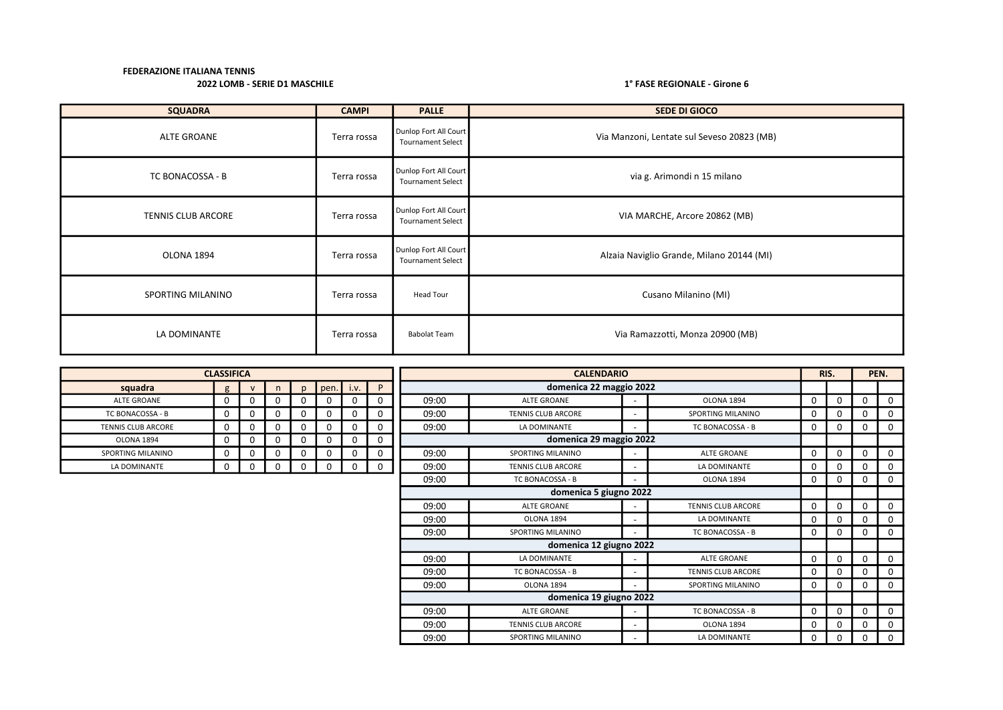| <b>SQUADRA</b>            | <b>CAMPI</b> | <b>PALLE</b>                                      | <b>SEDE DI GIOCO</b>                       |
|---------------------------|--------------|---------------------------------------------------|--------------------------------------------|
| ALTE GROANE               | Terra rossa  | Dunlop Fort All Court<br><b>Tournament Select</b> | Via Manzoni, Lentate sul Seveso 20823 (MB) |
| TC BONACOSSA - B          | Terra rossa  | Dunlop Fort All Court<br><b>Tournament Select</b> | via g. Arimondi n 15 milano                |
| <b>TENNIS CLUB ARCORE</b> | Terra rossa  | Dunlop Fort All Court<br><b>Tournament Select</b> | VIA MARCHE, Arcore 20862 (MB)              |
| OLONA 1894                | Terra rossa  | Dunlop Fort All Court<br><b>Tournament Select</b> | Alzaia Naviglio Grande, Milano 20144 (MI)  |
| SPORTING MILANINO         | Terra rossa  | Head Tour                                         | Cusano Milanino (MI)                       |
| LA DOMINANTE              | Terra rossa  | <b>Babolat Team</b>                               | Via Ramazzotti, Monza 20900 (MB)           |

|                           | <b>CLASSIFICA</b> |              |   |    |      |      |   |                                            | <b>CALENDARIO</b>                       |                          |                           |             | RIS.     |          | PEN.        |
|---------------------------|-------------------|--------------|---|----|------|------|---|--------------------------------------------|-----------------------------------------|--------------------------|---------------------------|-------------|----------|----------|-------------|
| squadra                   | $\mathbf{g}$      | $\mathsf{v}$ | n | n. | pen. | i.v. | P |                                            | domenica 22 maggio 2022                 |                          |                           |             |          |          |             |
| <b>ALTE GROANE</b>        | 0                 |              |   |    | 0    | 0    | 0 | 09:00                                      | <b>ALTE GROANE</b>                      |                          | OLONA 1894                | 0           | $\Omega$ | 0        | $\Omega$    |
| TC BONACOSSA - B          | 0                 | 0            |   |    | 0    | 0    | 0 | 09:00                                      | TENNIS CLUB ARCORE                      |                          | SPORTING MILANINO         | $\mathbf 0$ | $\Omega$ | 0        | $\Omega$    |
| <b>TENNIS CLUB ARCORE</b> | 0                 |              |   |    | 0    | 0    | 0 | 09:00                                      | LA DOMINANTE                            |                          | TC BONACOSSA - B          | 0           | $\Omega$ | 0        | 0           |
| OLONA 1894                | 0                 |              |   |    | 0    | 0    | 0 | domenica 29 maggio 2022                    |                                         |                          |                           |             |          |          |             |
| SPORTING MILANINO         | 0                 |              |   |    | 0    | 0    | 0 | 09:00                                      | SPORTING MILANINO<br><b>ALTE GROANE</b> |                          |                           |             |          | $\Omega$ | 0           |
| LA DOMINANTE              | 0                 |              | 0 |    | 0    | 0    | 0 | 09:00                                      | <b>TENNIS CLUB ARCORE</b>               |                          | LA DOMINANTE              | $\Omega$    | $\Omega$ | 0        | 0           |
|                           |                   |              |   |    |      |      |   | 09:00                                      | TC BONACOSSA - B                        |                          | OLONA 1894                | $\mathbf 0$ | $\Omega$ | $\Omega$ | 0           |
|                           |                   |              |   |    |      |      |   |                                            | domenica 5 giugno 2022                  |                          |                           |             |          |          |             |
|                           |                   |              |   |    |      |      |   | 09:00                                      | ALTE GROANE                             |                          | <b>TENNIS CLUB ARCORE</b> | $\mathbf 0$ | $\Omega$ | 0        | $\Omega$    |
|                           |                   |              |   |    |      |      |   | 09:00                                      | OLONA 1894                              | ٠                        | LA DOMINANTE              | 0           | 0        | 0        | 0           |
|                           |                   |              |   |    |      |      |   | 09:00                                      | SPORTING MILANINO                       |                          | TC BONACOSSA - B          | $\mathbf 0$ | $\Omega$ | 0        | 0           |
|                           |                   |              |   |    |      |      |   |                                            | domenica 12 giugno 2022                 |                          |                           |             |          |          |             |
|                           |                   |              |   |    |      |      |   | 09:00                                      | LA DOMINANTE                            |                          | <b>ALTE GROANE</b>        | $\Omega$    | $\Omega$ | $\Omega$ | $\Omega$    |
|                           |                   |              |   |    |      |      |   | 09:00                                      | TC BONACOSSA - B                        |                          | <b>TENNIS CLUB ARCORE</b> | $\mathbf 0$ | $\Omega$ | 0        | $\Omega$    |
|                           |                   |              |   |    |      |      |   | 09:00                                      | OLONA 1894                              |                          | SPORTING MILANINO         | $\Omega$    | 0        | 0        | $\mathbf 0$ |
|                           |                   |              |   |    |      |      |   |                                            | domenica 19 giugno 2022                 |                          |                           |             |          |          |             |
|                           |                   |              |   |    |      |      |   | 09:00                                      | <b>ALTE GROANE</b>                      | $\overline{\phantom{a}}$ | TC BONACOSSA - B          | 0           | 0        | $\Omega$ | 0           |
|                           |                   |              |   |    |      |      |   | 09:00                                      | TENNIS CLUB ARCORE                      |                          | OLONA 1894                | 0           | $\Omega$ | 0        | 0           |
|                           |                   |              |   |    |      |      |   | 09:00<br>SPORTING MILANINO<br>LA DOMINANTE |                                         |                          |                           | 0           | 0        | 0        | 0           |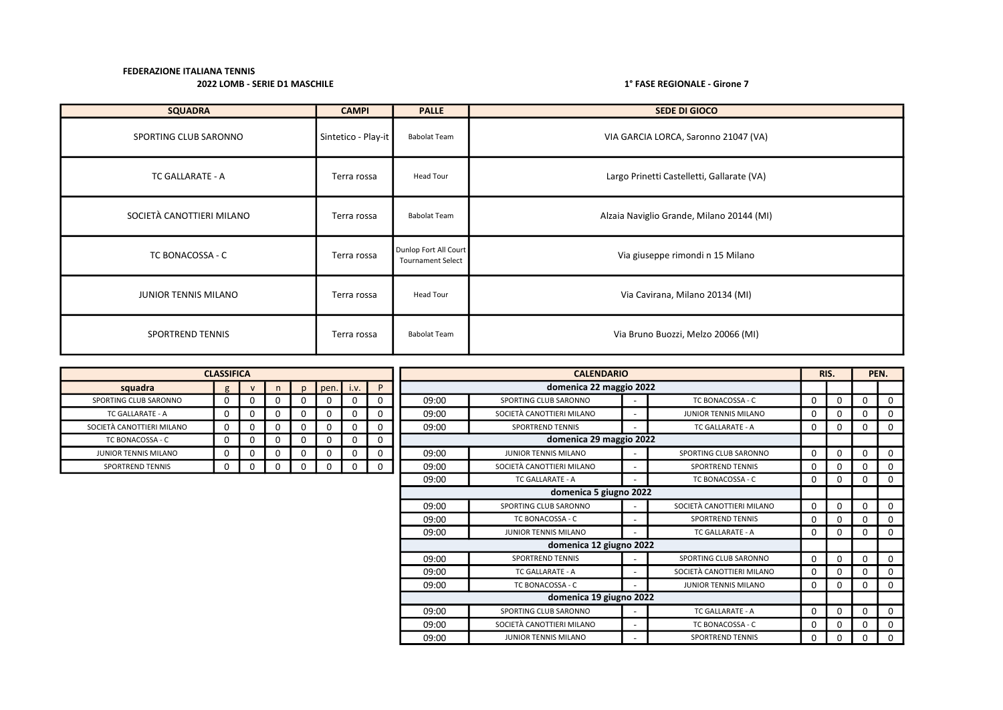| <b>SQUADRA</b>            | <b>CAMPI</b>        | <b>PALLE</b>                                      | SEDE DI GIOCO                              |
|---------------------------|---------------------|---------------------------------------------------|--------------------------------------------|
| SPORTING CLUB SARONNO     | Sintetico - Play-it | <b>Babolat Team</b>                               | VIA GARCIA LORCA, Saronno 21047 (VA)       |
| TC GALLARATE - A          | Terra rossa         | Head Tour                                         | Largo Prinetti Castelletti, Gallarate (VA) |
| SOCIETÀ CANOTTIERI MILANO | Terra rossa         | <b>Babolat Team</b>                               | Alzaia Naviglio Grande, Milano 20144 (MI)  |
| TC BONACOSSA - C          | Terra rossa         | Dunlop Fort All Court<br><b>Tournament Select</b> | Via giuseppe rimondi n 15 Milano           |
| JUNIOR TENNIS MILANO      | Terra rossa         | <b>Head Tour</b>                                  | Via Cavirana, Milano 20134 (MI)            |
| <b>SPORTREND TENNIS</b>   | Terra rossa         | <b>Babolat Team</b>                               | Via Bruno Buozzi, Melzo 20066 (MI)         |

|                           | <b>CLASSIFICA</b> |          |   |              |      |      |   |       | <b>CALENDARIO</b>         |  |                             |             |          |          | PEN.        |
|---------------------------|-------------------|----------|---|--------------|------|------|---|-------|---------------------------|--|-----------------------------|-------------|----------|----------|-------------|
| squadra                   | g                 |          | n | $\mathsf{D}$ | pen. | i.v. | P |       | domenica 22 maggio 2022   |  |                             |             |          |          |             |
| SPORTING CLUB SARONNO     | 0                 |          | 0 |              |      | 0    |   | 09:00 | SPORTING CLUB SARONNO     |  | TC BONACOSSA - C            | 0           | 0        | $\Omega$ | $\Omega$    |
| <b>TC GALLARATE - A</b>   | 0                 |          | 0 |              |      | 0    | 0 | 09:00 | SOCIETÀ CANOTTIERI MILANO |  | <b>JUNIOR TENNIS MILANO</b> | 0           | 0        | $\Omega$ | 0           |
| SOCIETÀ CANOTTIERI MILANO | 0                 | $\Omega$ | 0 |              |      | 0    | 0 | 09:00 | <b>SPORTREND TENNIS</b>   |  | <b>TC GALLARATE - A</b>     | $\mathbf 0$ | 0        | 0        | 0           |
| TC BONACOSSA - C          | $\mathbf 0$       |          | 0 |              |      | 0    | 0 |       | domenica 29 maggio 2022   |  |                             |             |          |          |             |
| JUNIOR TENNIS MILANO      | 0                 |          | 0 |              |      | 0    | 0 | 09:00 | JUNIOR TENNIS MILANO      |  | SPORTING CLUB SARONNO       | $\Omega$    | $\Omega$ | $\Omega$ | $\Omega$    |
| <b>SPORTREND TENNIS</b>   | 0                 |          | 0 |              |      | 0    | 0 | 09:00 | SOCIETÀ CANOTTIERI MILANO |  | <b>SPORTREND TENNIS</b>     | 0           | 0        | $\Omega$ | $\Omega$    |
|                           |                   |          |   |              |      |      |   | 09:00 | <b>TC GALLARATE - A</b>   |  | TC BONACOSSA - C            | 0           | 0        | $\Omega$ | 0           |
|                           |                   |          |   |              |      |      |   |       | domenica 5 giugno 2022    |  |                             |             |          |          |             |
|                           |                   |          |   |              |      |      |   | 09:00 | SPORTING CLUB SARONNO     |  | SOCIETÀ CANOTTIERI MILANO   | $\Omega$    | 0        | $\Omega$ | $\Omega$    |
|                           |                   |          |   |              |      |      |   | 09:00 | TC BONACOSSA - C          |  | <b>SPORTREND TENNIS</b>     | $\Omega$    | 0        | $\Omega$ | $\Omega$    |
|                           |                   |          |   |              |      |      |   | 09:00 | JUNIOR TENNIS MILANO      |  | $\Omega$                    | 0           | $\Omega$ | $\Omega$ |             |
|                           |                   |          |   |              |      |      |   |       | domenica 12 giugno 2022   |  |                             |             |          |          |             |
|                           |                   |          |   |              |      |      |   | 09:00 | <b>SPORTREND TENNIS</b>   |  | SPORTING CLUB SARONNO       | $\Omega$    | $\Omega$ | $\Omega$ | $\mathbf 0$ |
|                           |                   |          |   |              |      |      |   | 09:00 | <b>TC GALLARATE - A</b>   |  | SOCIETÀ CANOTTIERI MILANO   | $\Omega$    | 0        | $\Omega$ | $\Omega$    |
|                           |                   |          |   |              |      |      |   | 09:00 | TC BONACOSSA - C          |  | <b>JUNIOR TENNIS MILANO</b> | $\Omega$    | 0        | 0        | $\Omega$    |
|                           |                   |          |   |              |      |      |   |       | domenica 19 giugno 2022   |  |                             |             |          |          |             |
|                           |                   |          |   |              |      |      |   | 09:00 | SPORTING CLUB SARONNO     |  | <b>TC GALLARATE - A</b>     | 0           | 0        | 0        | 0           |
|                           |                   |          |   |              |      |      |   | 09:00 | SOCIETÀ CANOTTIERI MILANO |  | TC BONACOSSA - C            | 0           | 0        | O        | 0           |
|                           |                   |          |   |              |      |      |   | 09:00 | JUNIOR TENNIS MILANO      |  | <b>SPORTREND TENNIS</b>     | 0           | 0        | $\Omega$ | $\Omega$    |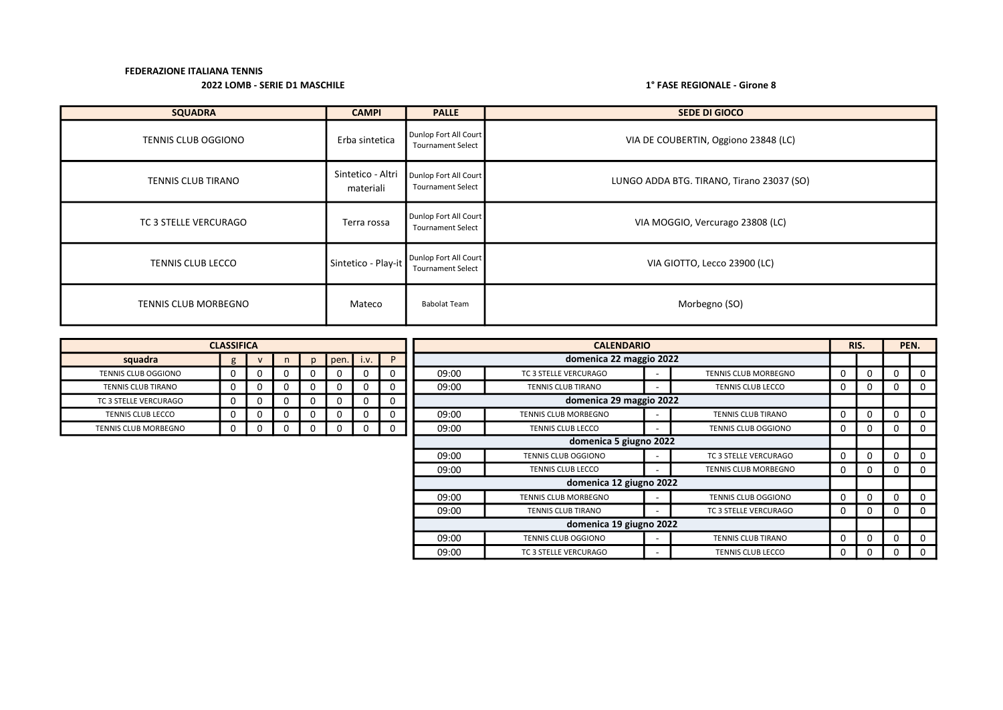| <b>SQUADRA</b>            | <b>CAMPI</b>                   | <b>PALLE</b>                                      | <b>SEDE DI GIOCO</b>                      |
|---------------------------|--------------------------------|---------------------------------------------------|-------------------------------------------|
| TENNIS CLUB OGGIONO       | Erba sintetica                 | Dunlop Fort All Court<br><b>Tournament Select</b> | VIA DE COUBERTIN, Oggiono 23848 (LC)      |
| <b>TENNIS CLUB TIRANO</b> | Sintetico - Altri<br>materiali | Dunlop Fort All Court<br><b>Tournament Select</b> | LUNGO ADDA BTG. TIRANO, Tirano 23037 (SO) |
| TC 3 STELLE VERCURAGO     | Terra rossa                    | Dunlop Fort All Court<br><b>Tournament Select</b> | VIA MOGGIO, Vercurago 23808 (LC)          |
| <b>TENNIS CLUB LECCO</b>  | Sintetico - Play-it            | Dunlop Fort All Court<br><b>Tournament Select</b> | VIA GIOTTO, Lecco 23900 (LC)              |
| TENNIS CLUB MORBEGNO      | Mateco                         | <b>Babolat Team</b>                               | Morbegno (SO)                             |

|                           | <b>CLASSIFICA</b> |   |   |              |      |          |             | <b>CALENDARIO</b>       |                                            |                     |                             |             | RIS.         |             | PEN.           |
|---------------------------|-------------------|---|---|--------------|------|----------|-------------|-------------------------|--------------------------------------------|---------------------|-----------------------------|-------------|--------------|-------------|----------------|
| squadra                   | g                 |   | n | $\mathsf{D}$ | pen. | i.v.     | P           |                         | domenica 22 maggio 2022                    |                     |                             |             |              |             |                |
| TENNIS CLUB OGGIONO       |                   |   |   |              |      | 0        | $\Omega$    | 09:00                   | TC 3 STELLE VERCURAGO                      |                     | <b>TENNIS CLUB MORBEGNO</b> | $\Omega$    | <sup>0</sup> | 0           | $\mathbf 0$    |
| <b>TENNIS CLUB TIRANO</b> |                   | 0 | 0 |              |      | 0        | 0           | 09:00                   | TENNIS CLUB TIRANO                         |                     | TENNIS CLUB LECCO           | 0           | $\Omega$     | 0           | 0              |
| TC 3 STELLE VERCURAGO     |                   |   |   |              |      | 0        | 0           |                         | domenica 29 maggio 2022                    |                     |                             |             |              |             |                |
| TENNIS CLUB LECCO         |                   |   |   |              |      | 0        |             | 09:00                   | TENNIS CLUB MORBEGNO                       |                     | TENNIS CLUB TIRANO          | 0           |              | 0           | $\mathbf 0$    |
| TENNIS CLUB MORBEGNO      |                   | Ü | 0 |              |      | $\Omega$ | $\mathbf 0$ | 09:00                   | <b>TENNIS CLUB LECCO</b>                   | TENNIS CLUB OGGIONO | $\mathbf 0$                 | 0           | 0            | $\mathbf 0$ |                |
|                           |                   |   |   |              |      |          |             |                         | domenica 5 giugno 2022                     |                     |                             |             |              |             |                |
|                           |                   |   |   |              |      |          |             | 09:00                   | <b>TENNIS CLUB OGGIONO</b>                 |                     | TC 3 STELLE VERCURAGO       | $\Omega$    |              | 0           | $\mathbf 0$    |
|                           |                   |   |   |              |      |          |             | 09:00                   | <b>TENNIS CLUB LECCO</b>                   |                     | TENNIS CLUB MORBEGNO        | $\mathbf 0$ | $\Omega$     | $\mathbf 0$ | $\mathbf 0$    |
|                           |                   |   |   |              |      |          |             |                         | domenica 12 giugno 2022                    |                     |                             |             |              |             |                |
|                           |                   |   |   |              |      |          |             | 09:00                   | <b>TENNIS CLUB MORBEGNO</b>                |                     | <b>TENNIS CLUB OGGIONO</b>  | $\Omega$    |              | $\Omega$    | $\overline{0}$ |
|                           |                   |   |   |              |      |          |             | 09:00                   | TENNIS CLUB TIRANO                         |                     | TC 3 STELLE VERCURAGO       | $\mathbf 0$ | $\Omega$     | 0           | $\mathbf 0$    |
|                           |                   |   |   |              |      |          |             | domenica 19 giugno 2022 |                                            |                     |                             |             |              |             |                |
|                           |                   |   |   |              |      |          |             | 09:00                   | TENNIS CLUB OGGIONO<br>TENNIS CLUB TIRANO  |                     |                             | $\Omega$    | $\Omega$     | 0           | $\mathbf 0$    |
|                           |                   |   |   |              |      |          |             | 09:00                   | TC 3 STELLE VERCURAGO<br>TENNIS CLUB LECCO |                     |                             |             | 0            | 0           | $\mathbf 0$    |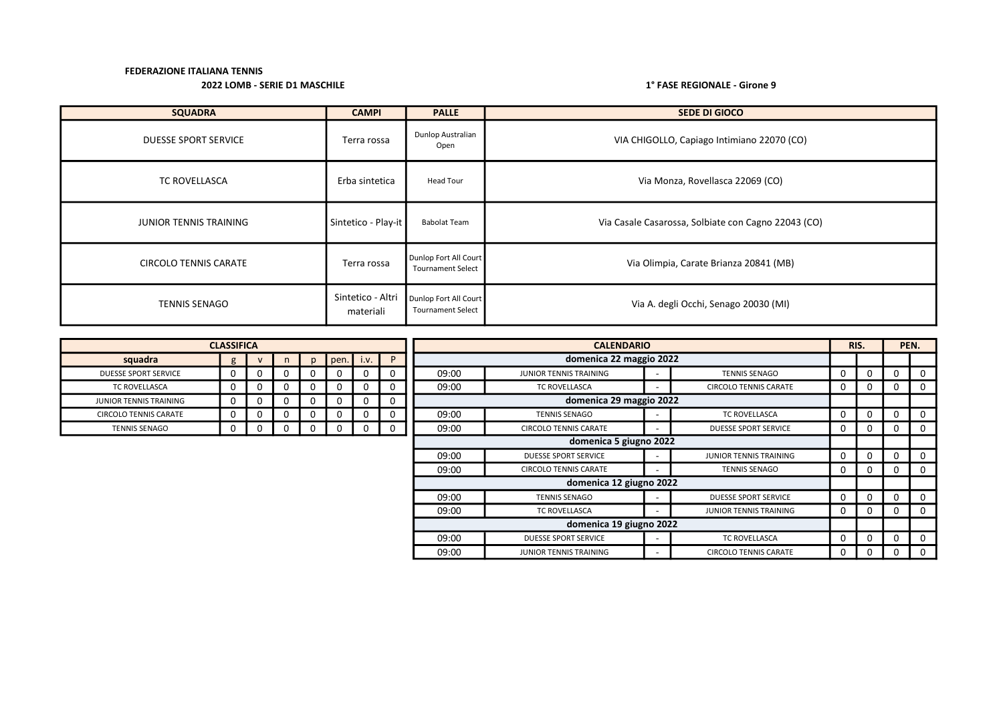| <b>SQUADRA</b>                | <b>CAMPI</b>                   | <b>PALLE</b>                                      | <b>SEDE DI GIOCO</b>                                |
|-------------------------------|--------------------------------|---------------------------------------------------|-----------------------------------------------------|
| <b>DUESSE SPORT SERVICE</b>   | Terra rossa                    | Dunlop Australian<br>Open                         | VIA CHIGOLLO, Capiago Intimiano 22070 (CO)          |
| <b>TC ROVELLASCA</b>          | Erba sintetica                 | Head Tour                                         | Via Monza, Rovellasca 22069 (CO)                    |
| <b>JUNIOR TENNIS TRAINING</b> | Sintetico - Play-it            | <b>Babolat Team</b>                               | Via Casale Casarossa, Solbiate con Cagno 22043 (CO) |
| <b>CIRCOLO TENNIS CARATE</b>  | Terra rossa                    | Dunlop Fort All Court<br><b>Tournament Select</b> | Via Olimpia, Carate Brianza 20841 (MB)              |
| <b>TENNIS SENAGO</b>          | Sintetico - Altri<br>materiali | Dunlop Fort All Court<br><b>Tournament Select</b> | Via A. degli Occhi, Senago 20030 (MI)               |

|                              | <b>CLASSIFICA</b> |   |          |      |          |   |       | <b>CALENDARIO</b>             |                          |                              | RIS.         |   |   | PEN. |
|------------------------------|-------------------|---|----------|------|----------|---|-------|-------------------------------|--------------------------|------------------------------|--------------|---|---|------|
| squadra                      |                   |   | n        | pen. | i.v.     | P |       | domenica 22 maggio 2022       |                          |                              |              |   |   |      |
| <b>DUESSE SPORT SERVICE</b>  | 0                 | 0 | <b>U</b> | 0    | 0        | 0 | 09:00 | <b>JUNIOR TENNIS TRAINING</b> |                          | <b>TENNIS SENAGO</b>         | 0            | 0 | 0 |      |
| TC ROVELLASCA                |                   | 0 |          | 0    | 0        | 0 | 09:00 | TC ROVELLASCA                 |                          | <b>CIRCOLO TENNIS CARATE</b> | 0            | 0 | 0 |      |
| <b>UNIOR TENNIS TRAINING</b> |                   | 0 |          | 0    | $\Omega$ | 0 |       | domenica 29 maggio 2022       |                          |                              |              |   |   |      |
| CIRCOLO TENNIS CARATE        |                   | 0 | υ        | 0    | 0        |   | 09:00 | <b>TENNIS SENAGO</b>          |                          | TC ROVELLASCA                | 0            | 0 | 0 |      |
| <b>TENNIS SENAGO</b>         |                   | 0 | 0        | 0    | $\Omega$ | 0 | 09:00 | <b>CIRCOLO TENNIS CARATE</b>  | $\overline{\phantom{a}}$ | <b>DUESSE SPORT SERVICE</b>  | 0            | 0 | 0 |      |
|                              |                   |   |          |      |          |   |       | domenica 5 giugno 2022        |                          |                              |              |   |   |      |
|                              |                   |   |          |      |          |   | 09:00 | <b>DUESSE SPORT SERVICE</b>   |                          | JUNIOR TENNIS TRAINING       | 0            | 0 | 0 |      |
|                              |                   |   |          |      |          |   | 09:00 | <b>CIRCOLO TENNIS CARATE</b>  |                          | <b>TENNIS SENAGO</b>         | 0            | 0 | 0 |      |
|                              |                   |   |          |      |          |   |       | domenica 12 giugno 2022       |                          |                              |              |   |   |      |
|                              |                   |   |          |      |          |   | 09:00 | <b>TENNIS SENAGO</b>          |                          | <b>DUESSE SPORT SERVICE</b>  | <sup>0</sup> | 0 | 0 |      |
|                              |                   |   |          |      |          |   | 09:00 | <b>TC ROVELLASCA</b>          |                          | JUNIOR TENNIS TRAINING       | 0            | 0 | 0 |      |
|                              |                   |   |          |      |          |   |       | domenica 19 giugno 2022       |                          |                              |              |   |   |      |
|                              |                   |   |          |      |          |   | 09:00 | <b>DUESSE SPORT SERVICE</b>   |                          | <b>TC ROVELLASCA</b>         | 0            | 0 | 0 |      |
|                              |                   |   |          |      |          |   | 09:00 | JUNIOR TENNIS TRAINING        |                          | <b>CIRCOLO TENNIS CARATE</b> | 0            | 0 | 0 |      |

| squadra                       | g | ٧ | n | p | pen. | i.v. | P |
|-------------------------------|---|---|---|---|------|------|---|
| <b>DUESSE SPORT SERVICE</b>   |   |   |   |   |      |      |   |
| <b>TC ROVELLASCA</b>          |   |   |   |   |      |      |   |
| <b>JUNIOR TENNIS TRAINING</b> |   |   |   |   |      |      |   |
| <b>CIRCOLO TENNIS CARATE</b>  | 0 |   |   | J |      |      |   |
| <b>TENNIS SENAGO</b>          |   |   |   |   |      |      |   |